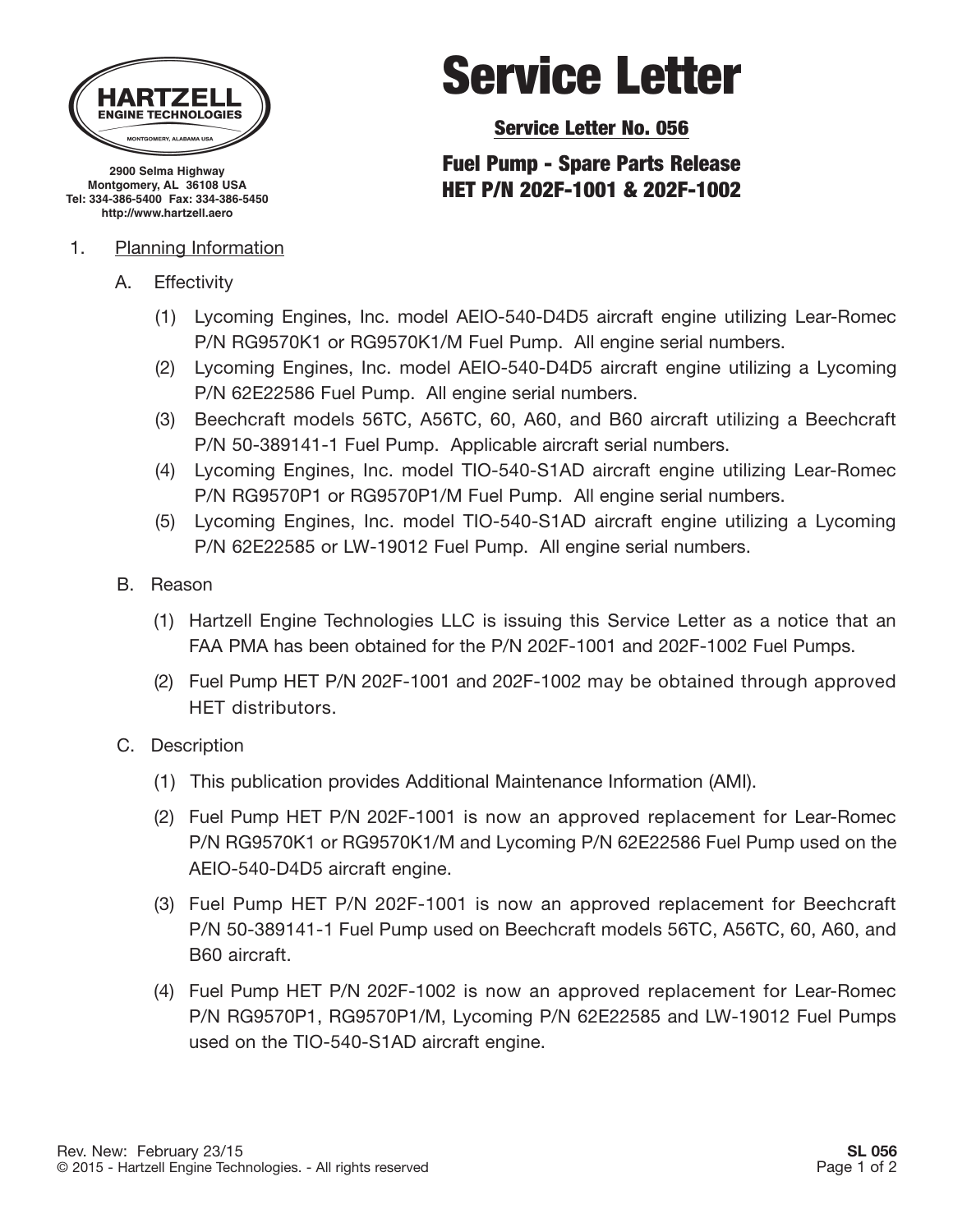

**2900 Selma Highway Montgomery, AL 36108 USA Tel: 334-386-5400 Fax: 334-386-5450 http://www.hartzell.aero**

#### 1. Planning Information

- A. Effectivity
	- (1) Lycoming Engines, Inc. model AEIO-540-D4D5 aircraft engine utilizing Lear-Romec P/N RG9570K1 or RG9570K1/M Fuel Pump. All engine serial numbers.
	- (2) Lycoming Engines, Inc. model AEIO-540-D4D5 aircraft engine utilizing a Lycoming P/N 62E22586 Fuel Pump. All engine serial numbers.
	- (3) Beechcraft models 56TC, A56TC, 60, A60, and B60 aircraft utilizing a Beechcraft P/N 50-389141-1 Fuel Pump. Applicable aircraft serial numbers.
	- (4) Lycoming Engines, Inc. model TIO-540-S1AD aircraft engine utilizing Lear-Romec P/N RG9570P1 or RG9570P1/M Fuel Pump. All engine serial numbers.
	- (5) Lycoming Engines, Inc. model TIO-540-S1AD aircraft engine utilizing a Lycoming P/N 62E22585 or LW-19012 Fuel Pump. All engine serial numbers.
- B. Reason
	- (1) Hartzell Engine Technologies LLC is issuing this Service Letter as a notice that an FAA PMA has been obtained for the P/N 202F-1001 and 202F-1002 Fuel Pumps.
	- (2) Fuel Pump HET P/N 202F-1001 and 202F-1002 may be obtained through approved HET distributors.
- C. Description
	- (1) This publication provides Additional Maintenance Information (AMI).
	- (2) Fuel Pump HET P/N 202F-1001 is now an approved replacement for Lear-Romec P/N RG9570K1 or RG9570K1/M and Lycoming P/N 62E22586 Fuel Pump used on the AEIO-540-D4D5 aircraft engine.
	- (3) Fuel Pump HET P/N 202F-1001 is now an approved replacement for Beechcraft P/N 50-389141-1 Fuel Pump used on Beechcraft models 56TC, A56TC, 60, A60, and B60 aircraft.
	- (4) Fuel Pump HET P/N 202F-1002 is now an approved replacement for Lear-Romec P/N RG9570P1, RG9570P1/M, Lycoming P/N 62E22585 and LW-19012 Fuel Pumps used on the TIO-540-S1AD aircraft engine.

# Service Letter

Service Letter No. 056

## Fuel Pump - Spare Parts Release HET P/N 202F-1001 & 202F-1002